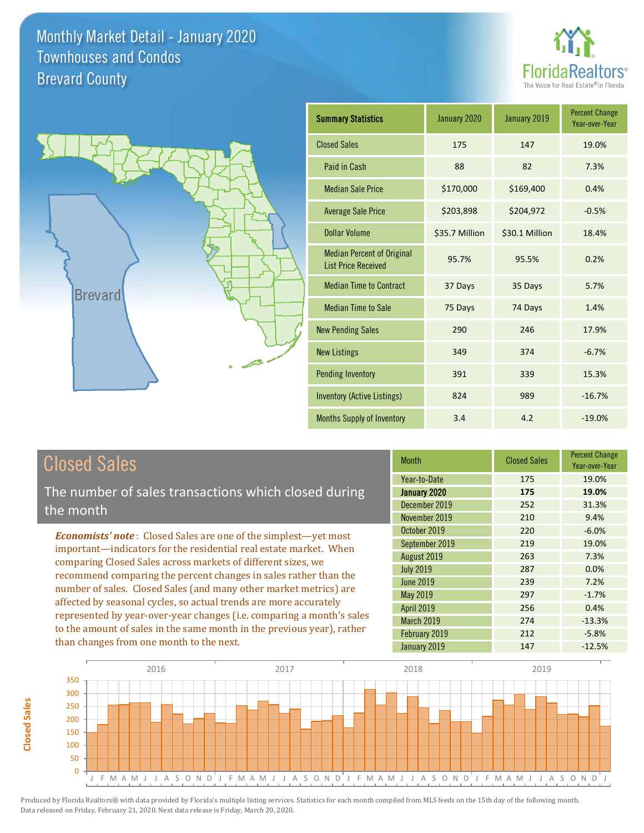



| <b>Summary Statistics</b>                                       | January 2020   | January 2019   | <b>Percent Change</b><br>Year-over-Year |
|-----------------------------------------------------------------|----------------|----------------|-----------------------------------------|
| <b>Closed Sales</b>                                             | 175            | 147            | 19.0%                                   |
| Paid in Cash                                                    | 88             | 82             | 7.3%                                    |
| <b>Median Sale Price</b>                                        | \$170,000      | \$169,400      | 0.4%                                    |
| <b>Average Sale Price</b>                                       | \$203,898      | \$204,972      | $-0.5%$                                 |
| Dollar Volume                                                   | \$35.7 Million | \$30.1 Million | 18.4%                                   |
| <b>Median Percent of Original</b><br><b>List Price Received</b> | 95.7%          | 95.5%          | 0.2%                                    |
| <b>Median Time to Contract</b>                                  | 37 Days        | 35 Days        | 5.7%                                    |
| <b>Median Time to Sale</b>                                      | 75 Days        | 74 Days        | 1.4%                                    |
| <b>New Pending Sales</b>                                        | 290            | 246            | 17.9%                                   |
| <b>New Listings</b>                                             | 349            | 374            | $-6.7%$                                 |
| <b>Pending Inventory</b>                                        | 391            | 339            | 15.3%                                   |
| Inventory (Active Listings)                                     | 824            | 989            | $-16.7%$                                |
| Months Supply of Inventory                                      | 3.4            | 4.2            | $-19.0%$                                |

### Closed Sales

The number of sales transactions which closed during the month

*Economists' note* : Closed Sales are one of the simplest—yet most important—indicators for the residential real estate market. When comparing Closed Sales across markets of different sizes, we recommend comparing the percent changes in sales rather than the number of sales. Closed Sales (and many other market metrics) are affected by seasonal cycles, so actual trends are more accurately represented by year-over-year changes (i.e. comparing a month's sales to the amount of sales in the same month in the previous year), rather than changes from one month to the next.

| <b>Month</b>      | <b>Closed Sales</b> | <b>Percent Change</b><br>Year-over-Year |
|-------------------|---------------------|-----------------------------------------|
| Year-to-Date      | 175                 | 19.0%                                   |
| January 2020      | 175                 | 19.0%                                   |
| December 2019     | 252                 | 31.3%                                   |
| November 2019     | 210                 | 9.4%                                    |
| October 2019      | 220                 | $-6.0%$                                 |
| September 2019    | 219                 | 19.0%                                   |
| August 2019       | 263                 | 7.3%                                    |
| <b>July 2019</b>  | 287                 | 0.0%                                    |
| <b>June 2019</b>  | 239                 | 7.2%                                    |
| May 2019          | 297                 | $-1.7%$                                 |
| <b>April 2019</b> | 256                 | 0.4%                                    |
| March 2019        | 274                 | $-13.3%$                                |
| February 2019     | 212                 | $-5.8%$                                 |
| January 2019      | 147                 | $-12.5%$                                |

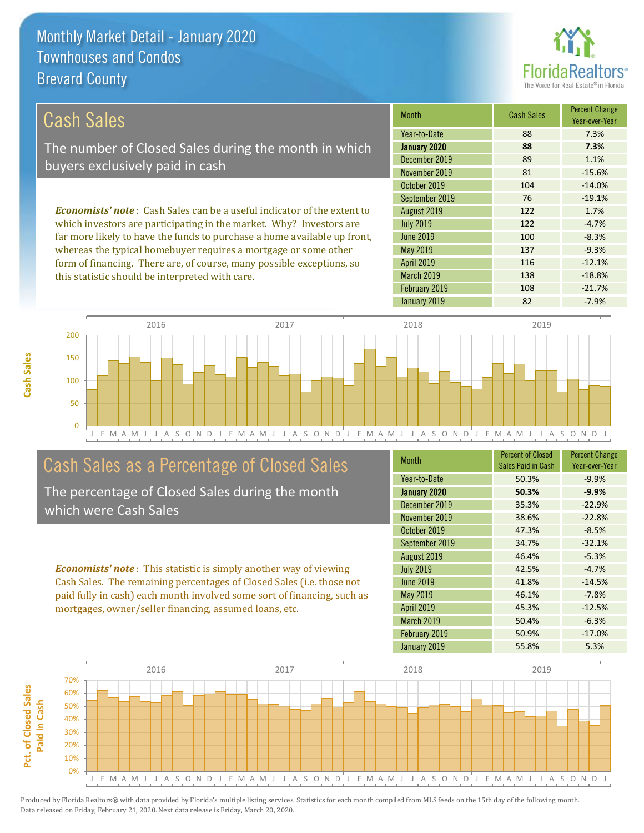this statistic should be interpreted with care.



138 -18.8%

| Cash Sales                                                                     | <b>Month</b>      | <b>Cash Sales</b> | <b>Percent Change</b><br>Year-over-Year |
|--------------------------------------------------------------------------------|-------------------|-------------------|-----------------------------------------|
|                                                                                | Year-to-Date      | 88                | 7.3%                                    |
| The number of Closed Sales during the month in which                           | January 2020      | 88                | 7.3%                                    |
| buyers exclusively paid in cash                                                | December 2019     | 89                | 1.1%                                    |
|                                                                                | November 2019     | 81                | $-15.6%$                                |
|                                                                                | October 2019      | 104               | $-14.0%$                                |
|                                                                                | September 2019    | 76                | $-19.1%$                                |
| <b>Economists' note:</b> Cash Sales can be a useful indicator of the extent to | August 2019       | 122               | 1.7%                                    |
| which investors are participating in the market. Why? Investors are            | <b>July 2019</b>  | 122               | $-4.7%$                                 |
| far more likely to have the funds to purchase a home available up front,       | June 2019         | 100               | $-8.3%$                                 |
| whereas the typical homebuyer requires a mortgage or some other                | May 2019          | 137               | $-9.3%$                                 |
| form of financing. There are, of course, many possible exceptions, so          | <b>April 2019</b> | 116               | $-12.1%$                                |



### Cash Sales as a Percentage of Closed Sales

The percentage of Closed Sales during the month which were Cash Sales

*Economists' note* : This statistic is simply another way of viewing Cash Sales. The remaining percentages of Closed Sales (i.e. those not paid fully in cash) each month involved some sort of financing, such as mortgages, owner/seller financing, assumed loans, etc.

| <b>Month</b>     | <b>Percent of Closed</b><br>Sales Paid in Cash | <b>Percent Change</b><br>Year-over-Year |
|------------------|------------------------------------------------|-----------------------------------------|
| Year-to-Date     | 50.3%                                          | $-9.9%$                                 |
| January 2020     | 50.3%                                          | $-9.9%$                                 |
| December 2019    | 35.3%                                          | $-22.9%$                                |
| November 2019    | 38.6%                                          | $-22.8%$                                |
| October 2019     | 47.3%                                          | $-8.5%$                                 |
| September 2019   | 34.7%                                          | $-32.1%$                                |
| August 2019      | 46.4%                                          | $-5.3%$                                 |
| <b>July 2019</b> | 42.5%                                          | $-4.7%$                                 |
| <b>June 2019</b> | 41.8%                                          | $-14.5%$                                |
| May 2019         | 46.1%                                          | $-7.8%$                                 |
| April 2019       | 45.3%                                          | $-12.5%$                                |
| March 2019       | 50.4%                                          | $-6.3%$                                 |
| February 2019    | 50.9%                                          | $-17.0%$                                |
| January 2019     | 55.8%                                          | 5.3%                                    |

February 2019 108 -21.7%

March 2019

January 2019 **82** -7.9%



**Cash Sales**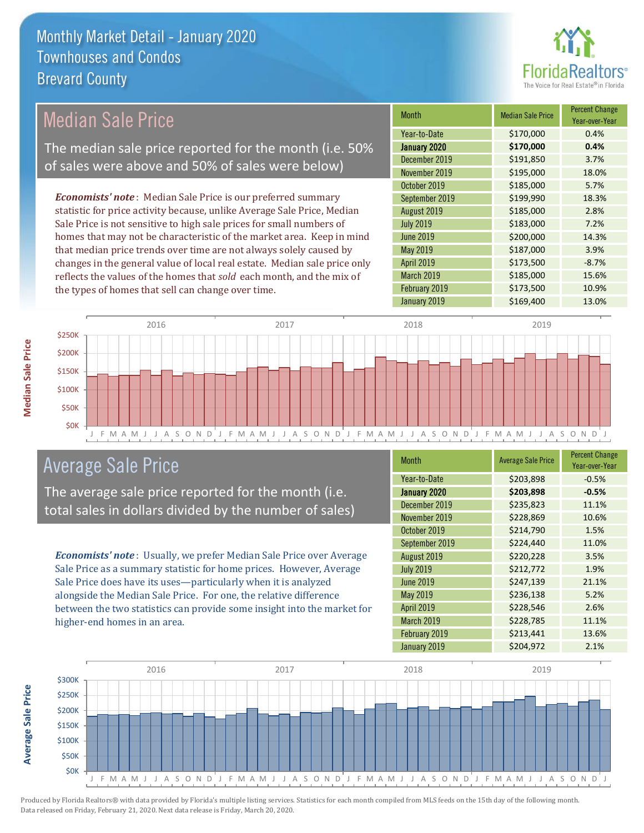

#### *Economists' note* : Median Sale Price is our preferred summary statistic for price activity because, unlike Average Sale Price, Median Sale Price is not sensitive to high sale prices for small numbers of homes that may not be characteristic of the market area. Keep in mind Median Sale Price The median sale price reported for the month (i.e. 50% of sales were above and 50% of sales were below)

that median price trends over time are not always solely caused by changes in the general value of local real estate. Median sale price only reflects the values of the homes that *sold* each month, and the mix of the types of homes that sell can change over time.

| <b>Month</b>      | <b>Median Sale Price</b> | <b>Percent Change</b><br>Year-over-Year |
|-------------------|--------------------------|-----------------------------------------|
| Year-to-Date      | \$170,000                | 0.4%                                    |
| January 2020      | \$170,000                | 0.4%                                    |
| December 2019     | \$191,850                | 3.7%                                    |
| November 2019     | \$195,000                | 18.0%                                   |
| October 2019      | \$185,000                | 5.7%                                    |
| September 2019    | \$199,990                | 18.3%                                   |
| August 2019       | \$185,000                | 2.8%                                    |
| <b>July 2019</b>  | \$183,000                | 7.2%                                    |
| <b>June 2019</b>  | \$200,000                | 14.3%                                   |
| May 2019          | \$187,000                | 3.9%                                    |
| <b>April 2019</b> | \$173,500                | $-8.7%$                                 |
| March 2019        | \$185,000                | 15.6%                                   |
| February 2019     | \$173,500                | 10.9%                                   |
| January 2019      | \$169,400                | 13.0%                                   |



### Average Sale Price

The average sale price reported for the month (i.e. total sales in dollars divided by the number of sales)

*Economists' note* : Usually, we prefer Median Sale Price over Average Sale Price as a summary statistic for home prices. However, Average Sale Price does have its uses—particularly when it is analyzed alongside the Median Sale Price. For one, the relative difference between the two statistics can provide some insight into the market for higher-end homes in an area.

| Month             | <b>Average Sale Price</b> | <b>Percent Change</b><br>Year-over-Year |
|-------------------|---------------------------|-----------------------------------------|
| Year-to-Date      | \$203,898                 | $-0.5%$                                 |
| January 2020      | \$203,898                 | $-0.5%$                                 |
| December 2019     | \$235,823                 | 11.1%                                   |
| November 2019     | \$228,869                 | 10.6%                                   |
| October 2019      | \$214,790                 | 1.5%                                    |
| September 2019    | \$224,440                 | 11.0%                                   |
| August 2019       | \$220,228                 | 3.5%                                    |
| <b>July 2019</b>  | \$212,772                 | 1.9%                                    |
| <b>June 2019</b>  | \$247,139                 | 21.1%                                   |
| May 2019          | \$236,138                 | 5.2%                                    |
| <b>April 2019</b> | \$228,546                 | 2.6%                                    |
| March 2019        | \$228,785                 | 11.1%                                   |
| February 2019     | \$213,441                 | 13.6%                                   |
| January 2019      | \$204,972                 | 2.1%                                    |

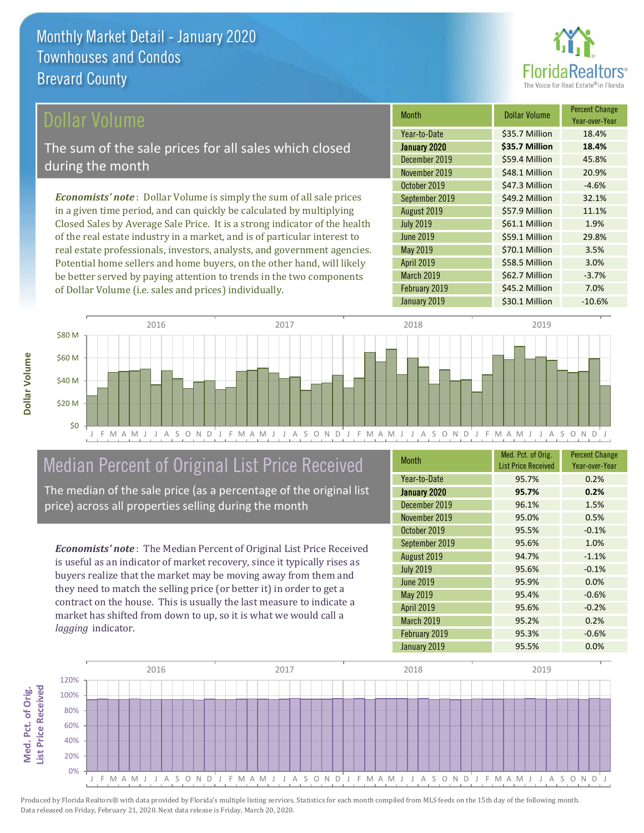

#### ollar Volume

The sum of the sale prices for all sales which closed during the month

*Economists' note* : Dollar Volume is simply the sum of all sale prices in a given time period, and can quickly be calculated by multiplying Closed Sales by Average Sale Price. It is a strong indicator of the health of the real estate industry in a market, and is of particular interest to real estate professionals, investors, analysts, and government agencies. Potential home sellers and home buyers, on the other hand, will likely be better served by paying attention to trends in the two components of Dollar Volume (i.e. sales and prices) individually.

| <b>Month</b>      | Dollar Volume  | <b>Percent Change</b><br>Year-over-Year |
|-------------------|----------------|-----------------------------------------|
| Year-to-Date      | \$35.7 Million | 18.4%                                   |
| January 2020      | \$35.7 Million | 18.4%                                   |
| December 2019     | \$59.4 Million | 45.8%                                   |
| November 2019     | \$48.1 Million | 20.9%                                   |
| October 2019      | \$47.3 Million | $-4.6%$                                 |
| September 2019    | \$49.2 Million | 32.1%                                   |
| August 2019       | \$57.9 Million | 11.1%                                   |
| <b>July 2019</b>  | \$61.1 Million | 1.9%                                    |
| <b>June 2019</b>  | \$59.1 Million | 29.8%                                   |
| May 2019          | \$70.1 Million | 3.5%                                    |
| <b>April 2019</b> | \$58.5 Million | 3.0%                                    |
| March 2019        | \$62.7 Million | $-3.7%$                                 |
| February 2019     | \$45.2 Million | 7.0%                                    |
| January 2019      | \$30.1 Million | $-10.6%$                                |



## Median Percent of Original List Price Received

The median of the sale price (as a percentage of the original list price) across all properties selling during the month

*Economists' note* : The Median Percent of Original List Price Received is useful as an indicator of market recovery, since it typically rises as buyers realize that the market may be moving away from them and they need to match the selling price (or better it) in order to get a contract on the house. This is usually the last measure to indicate a market has shifted from down to up, so it is what we would call a *lagging* indicator.

| <b>Month</b>      | Med. Pct. of Orig.<br><b>List Price Received</b> | <b>Percent Change</b><br>Year-over-Year |
|-------------------|--------------------------------------------------|-----------------------------------------|
| Year-to-Date      | 95.7%                                            | 0.2%                                    |
| January 2020      | 95.7%                                            | 0.2%                                    |
| December 2019     | 96.1%                                            | 1.5%                                    |
| November 2019     | 95.0%                                            | 0.5%                                    |
| October 2019      | 95.5%                                            | $-0.1%$                                 |
| September 2019    | 95.6%                                            | 1.0%                                    |
| August 2019       | 94.7%                                            | $-1.1%$                                 |
| <b>July 2019</b>  | 95.6%                                            | $-0.1%$                                 |
| <b>June 2019</b>  | 95.9%                                            | 0.0%                                    |
| May 2019          | 95.4%                                            | $-0.6%$                                 |
| <b>April 2019</b> | 95.6%                                            | $-0.2%$                                 |
| March 2019        | 95.2%                                            | 0.2%                                    |
| February 2019     | 95.3%                                            | $-0.6%$                                 |
| January 2019      | 95.5%                                            | 0.0%                                    |

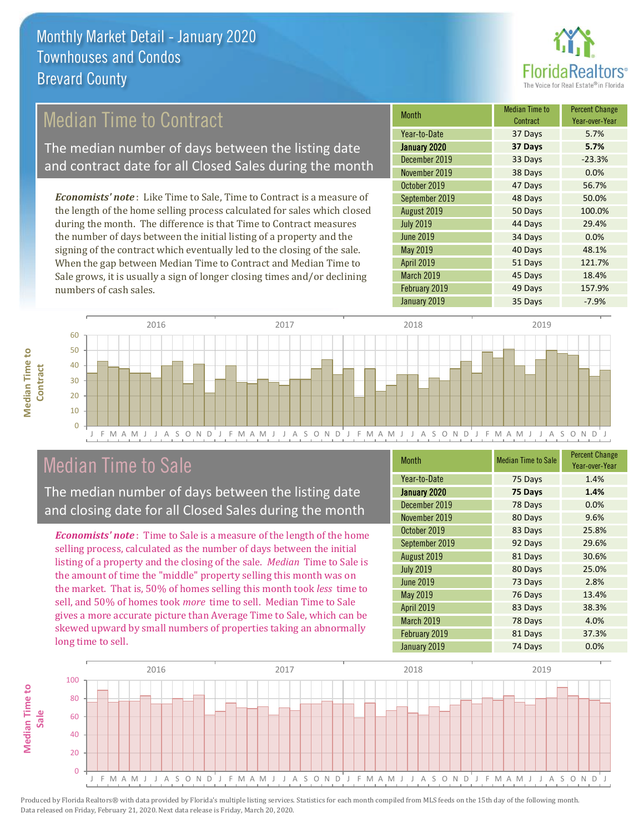

### Median Time to Contract

The median number of days between the listing date and contract date for all Closed Sales during the month

*Economists' note* : Like Time to Sale, Time to Contract is a measure of the length of the home selling process calculated for sales which closed during the month. The difference is that Time to Contract measures the number of days between the initial listing of a property and the signing of the contract which eventually led to the closing of the sale. When the gap between Median Time to Contract and Median Time to Sale grows, it is usually a sign of longer closing times and/or declining numbers of cash sales.

| <b>Month</b>     | Median Time to<br>Contract | <b>Percent Change</b><br>Year-over-Year |
|------------------|----------------------------|-----------------------------------------|
| Year-to-Date     | 37 Days                    | 5.7%                                    |
| January 2020     | 37 Days                    | 5.7%                                    |
| December 2019    | 33 Days                    | $-23.3%$                                |
| November 2019    | 38 Days                    | 0.0%                                    |
| October 2019     | 47 Days                    | 56.7%                                   |
| September 2019   | 48 Days                    | 50.0%                                   |
| August 2019      | 50 Days                    | 100.0%                                  |
| <b>July 2019</b> | 44 Days                    | 29.4%                                   |
| <b>June 2019</b> | 34 Days                    | 0.0%                                    |
| May 2019         | 40 Days                    | 48.1%                                   |
| April 2019       | 51 Days                    | 121.7%                                  |
| March 2019       | 45 Days                    | 18.4%                                   |
| February 2019    | 49 Days                    | 157.9%                                  |
| January 2019     | 35 Days                    | $-7.9%$                                 |



### Median Time to Sale

**Median Time to** 

**Median Time to** 

The median number of days between the listing date and closing date for all Closed Sales during the month

*Economists' note* : Time to Sale is a measure of the length of the home selling process, calculated as the number of days between the initial listing of a property and the closing of the sale. *Median* Time to Sale is the amount of time the "middle" property selling this month was on the market. That is, 50% of homes selling this month took *less* time to sell, and 50% of homes took *more* time to sell. Median Time to Sale gives a more accurate picture than Average Time to Sale, which can be skewed upward by small numbers of properties taking an abnormally long time to sell.

| <b>Month</b>      | <b>Median Time to Sale</b> | <b>Percent Change</b><br>Year-over-Year |
|-------------------|----------------------------|-----------------------------------------|
| Year-to-Date      | 75 Days                    | 1.4%                                    |
| January 2020      | 75 Days                    | 1.4%                                    |
| December 2019     | 78 Days                    | 0.0%                                    |
| November 2019     | 80 Days                    | 9.6%                                    |
| October 2019      | 83 Days                    | 25.8%                                   |
| September 2019    | 92 Days                    | 29.6%                                   |
| August 2019       | 81 Days                    | 30.6%                                   |
| <b>July 2019</b>  | 80 Days                    | 25.0%                                   |
| <b>June 2019</b>  | 73 Days                    | 2.8%                                    |
| May 2019          | 76 Days                    | 13.4%                                   |
| <b>April 2019</b> | 83 Days                    | 38.3%                                   |
| March 2019        | 78 Days                    | 4.0%                                    |
| February 2019     | 81 Days                    | 37.3%                                   |
| January 2019      | 74 Days                    | 0.0%                                    |

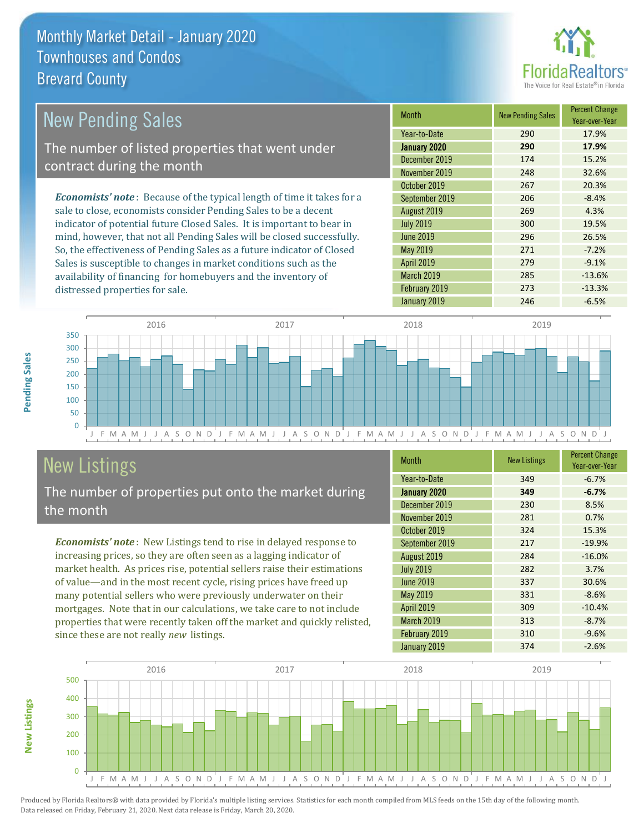

| New Pending Sales                                                              | <b>Month</b>      | <b>New Pending Sales</b> | <b>Percent Change</b><br>Year-over-Year |
|--------------------------------------------------------------------------------|-------------------|--------------------------|-----------------------------------------|
|                                                                                | Year-to-Date      | 290                      | 17.9%                                   |
| The number of listed properties that went under                                | January 2020      | 290                      | 17.9%                                   |
| contract during the month                                                      | December 2019     | 174                      | 15.2%                                   |
|                                                                                | November 2019     | 248                      | 32.6%                                   |
|                                                                                | October 2019      | 267                      | 20.3%                                   |
| <b>Economists' note</b> : Because of the typical length of time it takes for a | September 2019    | 206                      | $-8.4%$                                 |
| sale to close, economists consider Pending Sales to be a decent                | August 2019       | 269                      | 4.3%                                    |
| indicator of potential future Closed Sales. It is important to bear in         | <b>July 2019</b>  | 300                      | 19.5%                                   |
| mind, however, that not all Pending Sales will be closed successfully.         | <b>June 2019</b>  | 296                      | 26.5%                                   |
| So, the effectiveness of Pending Sales as a future indicator of Closed         | May 2019          | 271                      | $-7.2%$                                 |
| Sales is susceptible to changes in market conditions such as the               | <b>April 2019</b> | 279                      | $-9.1%$                                 |



## New Listings

distressed properties for sale.

The number of properties put onto the market during the month

availability of financing for homebuyers and the inventory of

*Economists' note* : New Listings tend to rise in delayed response to increasing prices, so they are often seen as a lagging indicator of market health. As prices rise, potential sellers raise their estimations of value—and in the most recent cycle, rising prices have freed up many potential sellers who were previously underwater on their mortgages. Note that in our calculations, we take care to not include properties that were recently taken off the market and quickly relisted, since these are not really *new* listings.

| <b>Month</b>      | <b>New Listings</b> | <b>Percent Change</b><br>Year-over-Year |
|-------------------|---------------------|-----------------------------------------|
| Year-to-Date      | 349                 | $-6.7%$                                 |
| January 2020      | 349                 | $-6.7%$                                 |
| December 2019     | 230                 | 8.5%                                    |
| November 2019     | 281                 | 0.7%                                    |
| October 2019      | 324                 | 15.3%                                   |
| September 2019    | 217                 | $-19.9%$                                |
| August 2019       | 284                 | $-16.0%$                                |
| <b>July 2019</b>  | 282                 | 3.7%                                    |
| <b>June 2019</b>  | 337                 | 30.6%                                   |
| <b>May 2019</b>   | 331                 | $-8.6%$                                 |
| April 2019        | 309                 | $-10.4%$                                |
| <b>March 2019</b> | 313                 | $-8.7%$                                 |
| February 2019     | 310                 | $-9.6%$                                 |
| January 2019      | 374                 | $-2.6%$                                 |

January 2019 **246** -6.5%

March 2019 **285** -13.6% February 2019 273 -13.3%



Produced by Florida Realtors® with data provided by Florida's multiple listing services. Statistics for each month compiled from MLS feeds on the 15th day of the following month. Data released on Friday, February 21, 2020. Next data release is Friday, March 20, 2020.

**New Listings**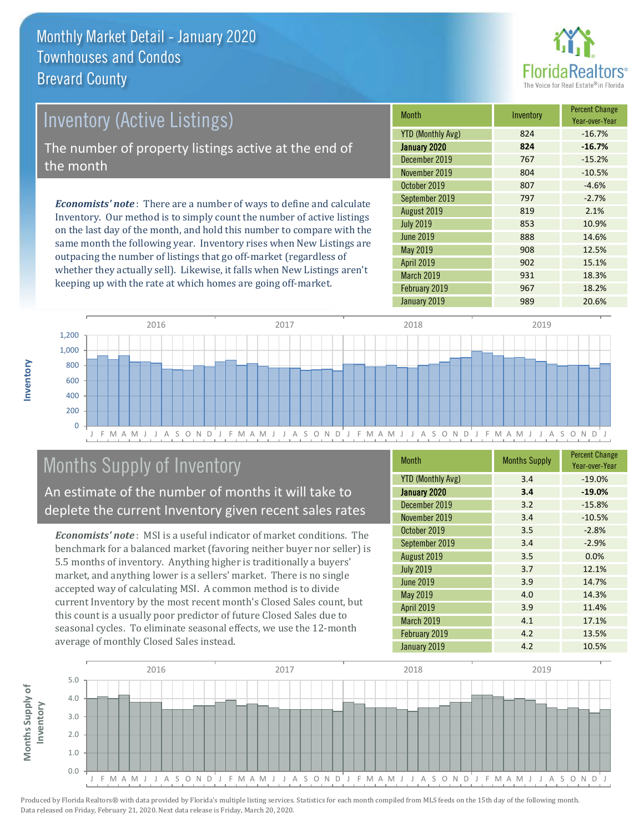

# *Economists' note* : There are a number of ways to define and calculate Inventory (Active Listings) The number of property listings active at the end of the month

Inventory. Our method is to simply count the number of active listings on the last day of the month, and hold this number to compare with the same month the following year. Inventory rises when New Listings are outpacing the number of listings that go off-market (regardless of whether they actually sell). Likewise, it falls when New Listings aren't keeping up with the rate at which homes are going off-market.

| <b>Month</b>             | Inventory | <b>Percent Change</b><br>Year-over-Year |
|--------------------------|-----------|-----------------------------------------|
| <b>YTD (Monthly Avg)</b> | 824       | $-16.7%$                                |
| January 2020             | 824       | $-16.7%$                                |
| December 2019            | 767       | $-15.2%$                                |
| November 2019            | 804       | $-10.5%$                                |
| October 2019             | 807       | $-4.6%$                                 |
| September 2019           | 797       | $-2.7%$                                 |
| August 2019              | 819       | 2.1%                                    |
| <b>July 2019</b>         | 853       | 10.9%                                   |
| June 2019                | 888       | 14.6%                                   |
| <b>May 2019</b>          | 908       | 12.5%                                   |
| <b>April 2019</b>        | 902       | 15.1%                                   |
| March 2019               | 931       | 18.3%                                   |
| February 2019            | 967       | 18.2%                                   |
| January 2019             | 989       | 20.6%                                   |



### Months Supply of Inventory

An estimate of the number of months it will take to deplete the current Inventory given recent sales rates

*Economists' note* : MSI is a useful indicator of market conditions. The benchmark for a balanced market (favoring neither buyer nor seller) is 5.5 months of inventory. Anything higher is traditionally a buyers' market, and anything lower is a sellers' market. There is no single accepted way of calculating MSI. A common method is to divide current Inventory by the most recent month's Closed Sales count, but this count is a usually poor predictor of future Closed Sales due to seasonal cycles. To eliminate seasonal effects, we use the 12-month average of monthly Closed Sales instead.

| <b>Month</b>             | <b>Months Supply</b> | <b>Percent Change</b><br>Year-over-Year |
|--------------------------|----------------------|-----------------------------------------|
| <b>YTD (Monthly Avg)</b> | 3.4                  | $-19.0%$                                |
| January 2020             | 3.4                  | $-19.0%$                                |
| December 2019            | 3.2                  | $-15.8%$                                |
| November 2019            | 3.4                  | $-10.5%$                                |
| October 2019             | 3.5                  | $-2.8%$                                 |
| September 2019           | 3.4                  | $-2.9%$                                 |
| August 2019              | 3.5                  | 0.0%                                    |
| <b>July 2019</b>         | 3.7                  | 12.1%                                   |
| <b>June 2019</b>         | 3.9                  | 14.7%                                   |
| May 2019                 | 4.0                  | 14.3%                                   |
| April 2019               | 3.9                  | 11.4%                                   |
| March 2019               | 4.1                  | 17.1%                                   |
| February 2019            | 4.2                  | 13.5%                                   |
| January 2019             | 4.2                  | 10.5%                                   |

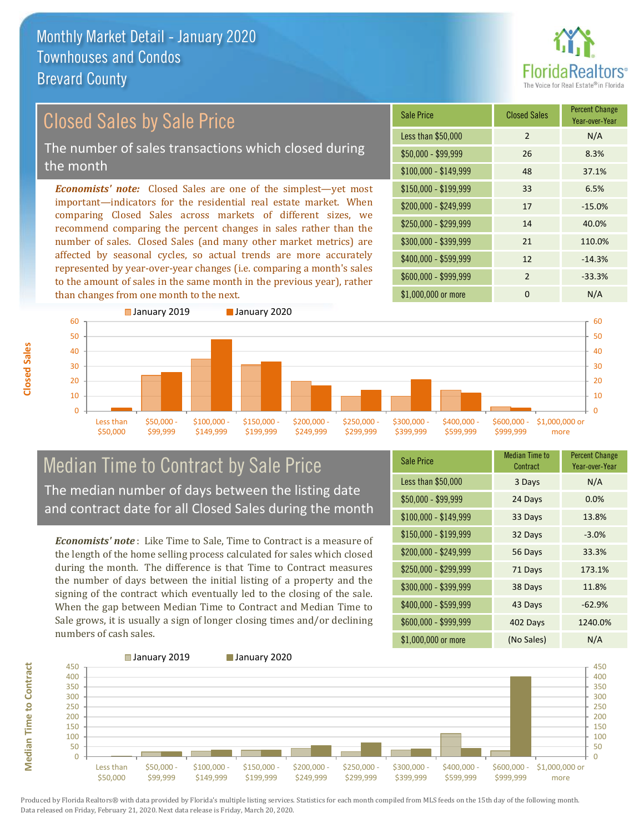

#### Sale Price Closed Sales Percent Change *Economists' note:* Closed Sales are one of the simplest—yet most important—indicators for the residential real estate market. When comparing Closed Sales across markets of different sizes, we recommend comparing the percent changes in sales rather than the number of sales. Closed Sales (and many other market metrics) are affected by seasonal cycles, so actual trends are more accurately Closed Sales by Sale Price The number of sales transactions which closed during the month

represented by year-over-year changes (i.e. comparing a month's sales to the amount of sales in the same month in the previous year), rather than changes from one month to the next.





#### Median Time to Contract by Sale Price The median number of days between the listing date and contract date for all Closed Sales during the month

*Economists' note* : Like Time to Sale, Time to Contract is a measure of the length of the home selling process calculated for sales which closed during the month. The difference is that Time to Contract measures the number of days between the initial listing of a property and the signing of the contract which eventually led to the closing of the sale. When the gap between Median Time to Contract and Median Time to Sale grows, it is usually a sign of longer closing times and/or declining numbers of cash sales.

| <b>Sale Price</b>     | Median Time to<br>Contract | <b>Percent Change</b><br>Year-over-Year |
|-----------------------|----------------------------|-----------------------------------------|
| Less than \$50,000    | 3 Days                     | N/A                                     |
| $$50,000 - $99,999$   | 24 Days                    | 0.0%                                    |
| $$100,000 - $149,999$ | 33 Days                    | 13.8%                                   |
| $$150,000 - $199,999$ | 32 Days                    | $-3.0%$                                 |
| \$200,000 - \$249,999 | 56 Days                    | 33.3%                                   |
| \$250,000 - \$299,999 | 71 Days                    | 173.1%                                  |
| \$300,000 - \$399,999 | 38 Days                    | 11.8%                                   |
| $$400,000 - $599,999$ | 43 Days                    | $-62.9%$                                |
| \$600,000 - \$999,999 | 402 Days                   | 1240.0%                                 |
| \$1,000,000 or more   | (No Sales)                 | N/A                                     |



Produced by Florida Realtors® with data provided by Florida's multiple listing services. Statistics for each month compiled from MLS feeds on the 15th day of the following month. Data released on Friday, February 21, 2020. Next data release is Friday, March 20, 2020.

**Median Time to Contract**

**Median Time to Contract**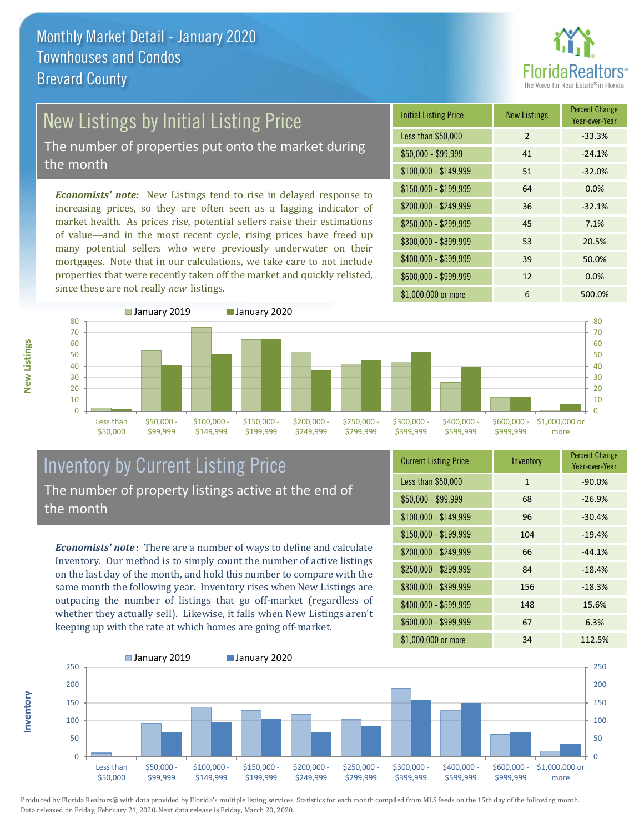

# New Listings by Initial Listing Price

The number of properties put onto the market during the month

*Economists' note:* New Listings tend to rise in delayed response to increasing prices, so they are often seen as a lagging indicator of market health. As prices rise, potential sellers raise their estimations of value—and in the most recent cycle, rising prices have freed up many potential sellers who were previously underwater on their mortgages. Note that in our calculations, we take care to not include properties that were recently taken off the market and quickly relisted, since these are not really *new* listings.





#### Inventory by Current Listing Price The number of property listings active at the end of the month

*Economists' note* : There are a number of ways to define and calculate Inventory. Our method is to simply count the number of active listings on the last day of the month, and hold this number to compare with the same month the following year. Inventory rises when New Listings are outpacing the number of listings that go off-market (regardless of whether they actually sell). Likewise, it falls when New Listings aren't keeping up with the rate at which homes are going off-market.

| <b>Current Listing Price</b> | Inventory    | <b>Percent Change</b><br>Year-over-Year |
|------------------------------|--------------|-----------------------------------------|
| Less than \$50,000           | $\mathbf{1}$ | $-90.0%$                                |
| $$50,000 - $99,999$          | 68           | $-26.9%$                                |
| $$100,000 - $149,999$        | 96           | $-30.4%$                                |
| $$150,000 - $199,999$        | 104          | $-19.4%$                                |
| \$200,000 - \$249,999        | 66           | $-44.1%$                                |
| \$250,000 - \$299,999        | 84           | $-18.4%$                                |
| \$300,000 - \$399,999        | 156          | $-18.3%$                                |
| \$400,000 - \$599,999        | 148          | 15.6%                                   |
| \$600,000 - \$999,999        | 67           | 6.3%                                    |
| \$1,000,000 or more          | 34           | 112.5%                                  |



Produced by Florida Realtors® with data provided by Florida's multiple listing services. Statistics for each month compiled from MLS feeds on the 15th day of the following month. Data released on Friday, February 21, 2020. Next data release is Friday, March 20, 2020.

**Inventory**